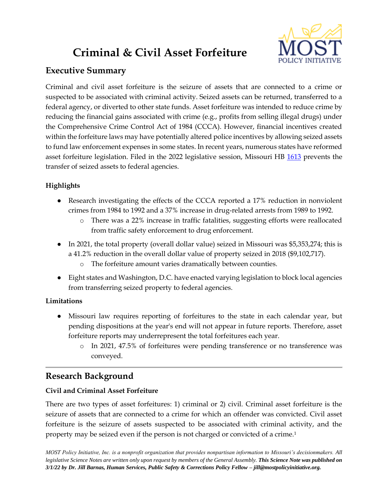# **Criminal & Civil Asset Forfeiture**



# **Executive Summary**

Criminal and civil asset forfeiture is the seizure of assets that are connected to a crime or suspected to be associated with criminal activity. Seized assets can be returned, transferred to a federal agency, or diverted to other state funds. Asset forfeiture was intended to reduce crime by reducing the financial gains associated with crime (e.g., profits from selling illegal drugs) under the Comprehensive Crime Control Act of 1984 (CCCA). However, financial incentives created within the forfeiture laws may have potentially altered police incentives by allowing seized assets to fund law enforcement expenses in some states. In recent years, numerous states have reformed asset forfeiture legislation. Filed in the 2022 legislative session, Missouri HB [1613](https://house.mo.gov/Bill.aspx?bill=HB1613&year=2022&code=R) prevents the transfer of seized assets to federal agencies.

# **Highlights**

- Research investigating the effects of the CCCA reported a 17% reduction in nonviolent crimes from 1984 to 1992 and a 37% increase in drug-related arrests from 1989 to 1992.
	- o There was a 22% increase in traffic fatalities, suggesting efforts were reallocated from traffic safety enforcement to drug enforcement.
- In 2021, the total property (overall dollar value) seized in Missouri was \$5,353,274; this is a 41.2% reduction in the overall dollar value of property seized in 2018 (\$9,102,717).
	- o The forfeiture amount varies dramatically between counties.
- Eight states and Washington, D.C. have enacted varying legislation to block local agencies from transferring seized property to federal agencies.

## **Limitations**

- Missouri law requires reporting of forfeitures to the state in each calendar year, but pending dispositions at the year's end will not appear in future reports. Therefore, asset forfeiture reports may underrepresent the total forfeitures each year.
	- o In 2021, 47.5% of forfeitures were pending transference or no transference was conveyed.

# **Research Background**

## **Civil and Criminal Asset Forfeiture**

There are two types of asset forfeitures: 1) criminal or 2) civil. Criminal asset forfeiture is the seizure of assets that are connected to a crime for which an offender was convicted. Civil asset forfeiture is the seizure of assets suspected to be associated with criminal activity, and the property may be seized even if the person is not charged or convicted of a crime.1

*MOST Policy Initiative, Inc. is a nonprofit organization that provides nonpartisan information to Missouri's decisionmakers. All*  legislative Science Notes are written only upon request by members of the General Assembly. **This Science Note was published on** *3/1/22 by Dr. Jill Barnas, Human Services, Public Safety & Corrections Policy Fellow – jill@mostpolicyinitiative.org.*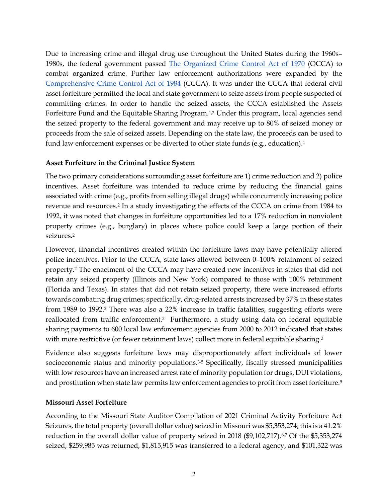Due to increasing crime and illegal drug use throughout the United States during the 1960s– 1980s, the federal government passed [The Organized Crime Control Act of 1970](https://www.congress.gov/91/statute/STATUTE-84/STATUTE-84-Pg922-3.pdf) (OCCA) to combat organized crime. Further law enforcement authorizations were expanded by the [Comprehensive Crime Control Act of 1984](https://www.congress.gov/bill/98th-congress/senate-bill/1762) (CCCA). It was under the CCCA that federal civil asset forfeiture permitted the local and state government to seize assets from people suspected of committing crimes. In order to handle the seized assets, the CCCA established the Assets Forfeiture Fund and the Equitable Sharing Program.<sup>1,2</sup> Under this program, local agencies send the seized property to the federal government and may receive up to 80% of seized money or proceeds from the sale of seized assets. Depending on the state law, the proceeds can be used to fund law enforcement expenses or be diverted to other state funds (e.g., education).<sup>1</sup>

#### **Asset Forfeiture in the Criminal Justice System**

The two primary considerations surrounding asset forfeiture are 1) crime reduction and 2) police incentives. Asset forfeiture was intended to reduce crime by reducing the financial gains associated with crime (e.g., profits from selling illegal drugs) while concurrently increasing police revenue and resources.<sup>2</sup> In a study investigating the effects of the CCCA on crime from 1984 to 1992, it was noted that changes in forfeiture opportunities led to a 17% reduction in nonviolent property crimes (e.g., burglary) in places where police could keep a large portion of their seizures.<sup>2</sup>

However, financial incentives created within the forfeiture laws may have potentially altered police incentives. Prior to the CCCA, state laws allowed between 0–100% retainment of seized property.<sup>2</sup> The enactment of the CCCA may have created new incentives in states that did not retain any seized property (Illinois and New York) compared to those with 100% retainment (Florida and Texas). In states that did not retain seized property, there were increased efforts towards combating drug crimes; specifically, drug-related arrests increased by 37% in these states from 1989 to 1992.<sup>2</sup> There was also a 22% increase in traffic fatalities, suggesting efforts were reallocated from traffic enforcement.2 Furthermore, a study using data on federal equitable sharing payments to 600 local law enforcement agencies from 2000 to 2012 indicated that states with more restrictive (or fewer retainment laws) collect more in federal equitable sharing.<sup>3</sup>

Evidence also suggests forfeiture laws may disproportionately affect individuals of lower socioeconomic status and minority populations.<sup>3-5</sup> Specifically, fiscally stressed municipalities with low resources have an increased arrest rate of minority population for drugs, DUI violations, and prostitution when state law permits law enforcement agencies to profit from asset forfeiture.<sup>5</sup>

#### **Missouri Asset Forfeiture**

According to the Missouri State Auditor Compilation of 2021 Criminal Activity Forfeiture Act Seizures, the total property (overall dollar value) seized in Missouri was \$5,353,274; this is a 41.2% reduction in the overall dollar value of property seized in 2018 (\$9,102,717).<sup>6,7</sup> Of the \$5,353,274 seized, \$259,985 was returned, \$1,815,915 was transferred to a federal agency, and \$101,322 was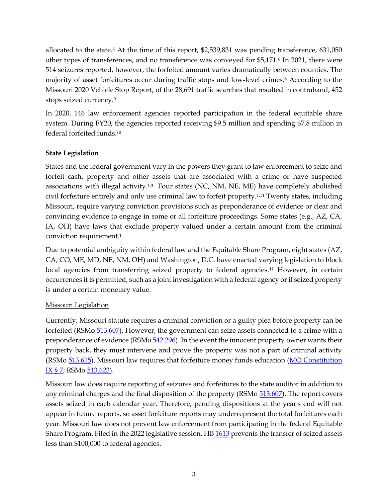allocated to the state.<sup>6</sup> At the time of this report, \$2,539,831 was pending transference, 631,050 other types of transferences, and no transference was conveyed for \$5,171.<sup>6</sup> In 2021, there were 514 seizures reported, however, the forfeited amount varies dramatically between counties. The majority of asset forfeitures occur during traffic stops and low-level crimes.<sup>8</sup> According to the Missouri 2020 Vehicle Stop Report, of the 28,691 traffic searches that resulted in contraband, 452 stops seized currency.<sup>9</sup>

In 2020, 146 law enforcement agencies reported participation in the federal equitable share system. During FY20, the agencies reported receiving \$9.5 million and spending \$7.8 million in federal forfeited funds.<sup>10</sup>

#### **State Legislation**

States and the federal government vary in the powers they grant to law enforcement to seize and forfeit cash, property and other assets that are associated with a crime or have suspected associations with illegal activity.<sup>1,3</sup> Four states (NC, NM, NE, ME) have completely abolished civil forfeiture entirely and only use criminal law to forfeit property.1,11 Twenty states, including Missouri, require varying conviction provisions such as preponderance of evidence or clear and convincing evidence to engage in some or all forfeiture proceedings. Some states (e.g., AZ, CA, IA, OH) have laws that exclude property valued under a certain amount from the criminal conviction requirement.<sup>1</sup>

Due to potential ambiguity within federal law and the Equitable Share Program, eight states (AZ, CA, CO, ME, MD, NE, NM, OH) and Washington, D.C. have enacted varying legislation to block local agencies from transferring seized property to federal agencies.<sup>11</sup> However, in certain occurrences it is permitted, such as a joint investigation with a federal agency or if seized property is under a certain monetary value.

#### Missouri Legislation

Currently, Missouri statute requires a criminal conviction or a guilty plea before property can be forfeited (RSMo [513.607\)](https://revisor.mo.gov/main/OneSection.aspx?section=513.607). However, the government can seize assets connected to a crime with a preponderance of evidence (RSMo [542.296\)](https://revisor.mo.gov/main/OneSection.aspx?section=542.296). In the event the innocent property owner wants their property back, they must intervene and prove the property was not a part of criminal activity (RSMo [513.615\)](https://revisor.mo.gov/main/OneSection.aspx?section=513.615). Missouri law requires that forfeiture money funds education [\(MO Constitution](https://revisor.mo.gov/main/OneSection.aspx?section=IX++++7&bid=31891&constit=y)  [IX § 7;](https://revisor.mo.gov/main/OneSection.aspx?section=IX++++7&bid=31891&constit=y) RSMo [513.623\)](https://revisor.mo.gov/main/OneSection.aspx?section=513.623).

Missouri law does require reporting of seizures and forfeitures to the state auditor in addition to any criminal charges and the final disposition of the property (RSMo  $513.607$ ). The report covers assets seized in each calendar year. Therefore, pending dispositions at the year's end will not appear in future reports, so asset forfeiture reports may underrepresent the total forfeitures each year. Missouri law does not prevent law enforcement from participating in the federal Equitable Share Program. Filed in the 2022 legislative session, HB [1613](https://house.mo.gov/Bill.aspx?bill=HB1613&year=2022&code=R) prevents the transfer of seized assets less than \$100,000 to federal agencies.